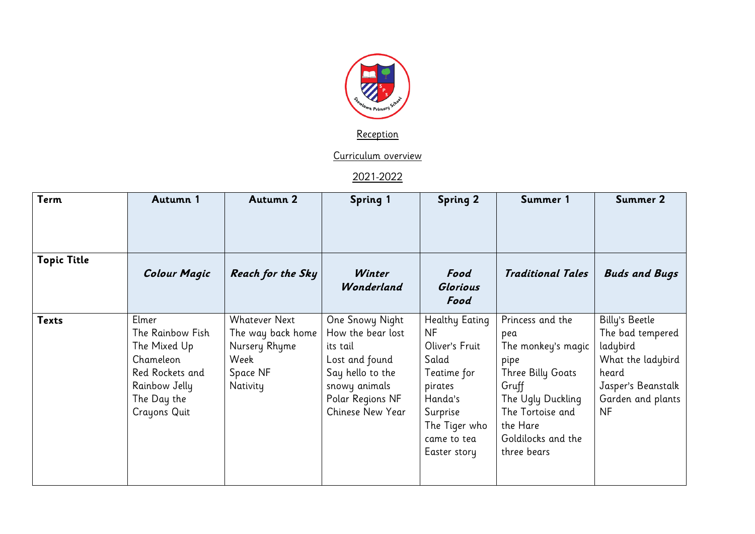

**Reception** 

Curriculum overview

2021-2022

| <b>Term</b>        | Autumn 1                                                                                                                         | Autumn 2                                                                                   | <b>Spring 1</b>                                                                                                                                 | <b>Spring 2</b>                                                                                                                                         | Summer 1                                                                                                                                                                      | Summer 2                                                                                                                             |
|--------------------|----------------------------------------------------------------------------------------------------------------------------------|--------------------------------------------------------------------------------------------|-------------------------------------------------------------------------------------------------------------------------------------------------|---------------------------------------------------------------------------------------------------------------------------------------------------------|-------------------------------------------------------------------------------------------------------------------------------------------------------------------------------|--------------------------------------------------------------------------------------------------------------------------------------|
|                    |                                                                                                                                  |                                                                                            |                                                                                                                                                 |                                                                                                                                                         |                                                                                                                                                                               |                                                                                                                                      |
| <b>Topic Title</b> | <b>Colour Magic</b>                                                                                                              | <b>Reach for the Sky</b>                                                                   | Winter<br>Wonderland                                                                                                                            | Food<br>Glorious<br>Food                                                                                                                                | <b>Traditional Tales</b>                                                                                                                                                      | <b>Buds and Bugs</b>                                                                                                                 |
| <b>Texts</b>       | Elmer<br>The Rainbow Fish<br>The Mixed Up<br>Chameleon<br>Red Rockets and<br>Rainbow Jelly<br>The Day the<br><b>Crayons Quit</b> | <b>Whatever Next</b><br>The way back home<br>Nursery Rhyme<br>Week<br>Space NF<br>Nativity | One Snowy Night<br>How the bear lost<br>its tail<br>Lost and found<br>Say hello to the<br>snowy animals<br>Polar Regions NF<br>Chinese New Year | Healthy Eating<br><b>NF</b><br>Oliver's Fruit<br>Salad<br>Teatime for<br>pirates<br>Handa's<br>Surprise<br>The Tiger who<br>came to tea<br>Easter story | Princess and the<br>pea<br>The monkey's magic<br>pipe<br>Three Billy Goats<br>Gruff<br>The Ugly Duckling<br>The Tortoise and<br>the Hare<br>Goldilocks and the<br>three bears | Billy's Beetle<br>The bad tempered<br>ladybird<br>What the ladybird<br>heard<br>Jasper's Beanstalk<br>Garden and plants<br><b>NF</b> |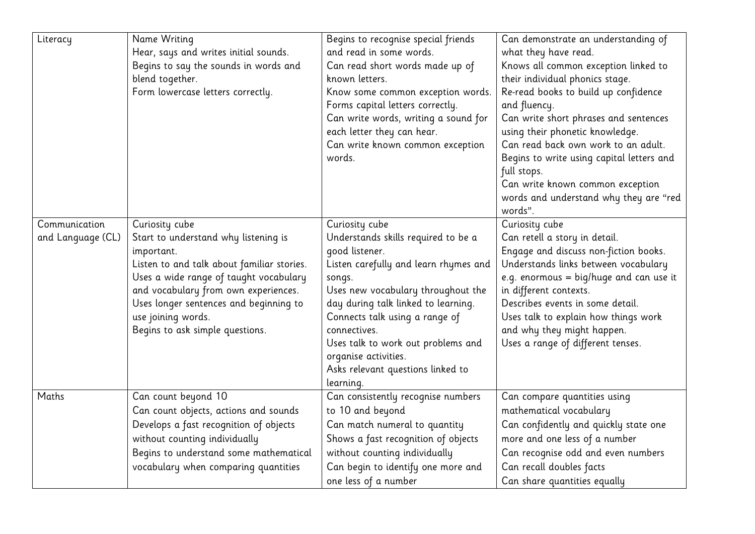| Literacy                           | Name Writing<br>Hear, says and writes initial sounds.<br>Begins to say the sounds in words and<br>blend together.<br>Form lowercase letters correctly.                                                                                                                                                  | Begins to recognise special friends<br>and read in some words.<br>Can read short words made up of<br>known letters.<br>Know some common exception words.<br>Forms capital letters correctly.<br>Can write words, writing a sound for<br>each letter they can hear.<br>Can write known common exception<br>words.                                                          | Can demonstrate an understanding of<br>what they have read.<br>Knows all common exception linked to<br>their individual phonics stage.<br>Re-read books to build up confidence<br>and fluency.<br>Can write short phrases and sentences<br>using their phonetic knowledge.<br>Can read back own work to an adult.<br>Begins to write using capital letters and<br>full stops.<br>Can write known common exception<br>words and understand why they are "red<br>words". |
|------------------------------------|---------------------------------------------------------------------------------------------------------------------------------------------------------------------------------------------------------------------------------------------------------------------------------------------------------|---------------------------------------------------------------------------------------------------------------------------------------------------------------------------------------------------------------------------------------------------------------------------------------------------------------------------------------------------------------------------|------------------------------------------------------------------------------------------------------------------------------------------------------------------------------------------------------------------------------------------------------------------------------------------------------------------------------------------------------------------------------------------------------------------------------------------------------------------------|
| Communication<br>and Language (CL) | Curiosity cube<br>Start to understand why listening is<br>important.<br>Listen to and talk about familiar stories.<br>Uses a wide range of taught vocabulary<br>and vocabulary from own experiences.<br>Uses longer sentences and beginning to<br>use joining words.<br>Begins to ask simple questions. | Curiosity cube<br>Understands skills required to be a<br>good listener.<br>Listen carefully and learn rhymes and<br>songs.<br>Uses new vocabulary throughout the<br>day during talk linked to learning.<br>Connects talk using a range of<br>connectives.<br>Uses talk to work out problems and<br>organise activities.<br>Asks relevant questions linked to<br>learning. | Curiosity cube<br>Can retell a story in detail.<br>Engage and discuss non-fiction books.<br>Understands links between vocabulary<br>e.g. enormous = $big/huge$ and can use it<br>in different contexts.<br>Describes events in some detail.<br>Uses talk to explain how things work<br>and why they might happen.<br>Uses a range of different tenses.                                                                                                                 |
| Maths                              | Can count beyond 10<br>Can count objects, actions and sounds<br>Develops a fast recognition of objects<br>without counting individually<br>Begins to understand some mathematical<br>vocabulary when comparing quantities                                                                               | Can consistently recognise numbers<br>to 10 and beyond<br>Can match numeral to quantity<br>Shows a fast recognition of objects<br>without counting individually<br>Can begin to identify one more and<br>one less of a number                                                                                                                                             | Can compare quantities using<br>mathematical vocabulary<br>Can confidently and quickly state one<br>more and one less of a number<br>Can recognise odd and even numbers<br>Can recall doubles facts<br>Can share quantities equally                                                                                                                                                                                                                                    |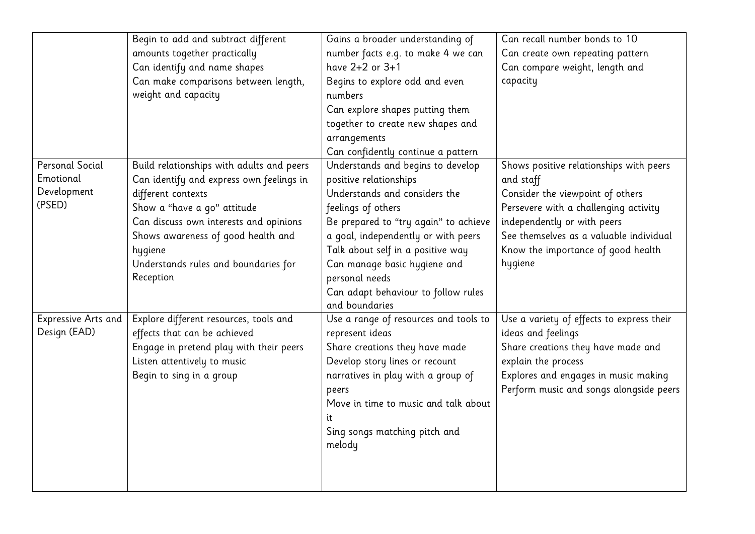|                        | Begin to add and subtract different       | Gains a broader understanding of      | Can recall number bonds to 10             |  |  |
|------------------------|-------------------------------------------|---------------------------------------|-------------------------------------------|--|--|
|                        | amounts together practically              | number facts e.g. to make 4 we can    | Can create own repeating pattern          |  |  |
|                        | Can identify and name shapes              | have 2+2 or 3+1                       | Can compare weight, length and            |  |  |
|                        | Can make comparisons between length,      | Begins to explore odd and even        | capacity                                  |  |  |
|                        | weight and capacity                       | numbers                               |                                           |  |  |
|                        |                                           | Can explore shapes putting them       |                                           |  |  |
|                        |                                           | together to create new shapes and     |                                           |  |  |
|                        |                                           | arrangements                          |                                           |  |  |
|                        |                                           | Can confidently continue a pattern    |                                           |  |  |
| <b>Personal Social</b> | Build relationships with adults and peers | Understands and begins to develop     | Shows positive relationships with peers   |  |  |
| Emotional              | Can identify and express own feelings in  | positive relationships                | and staff                                 |  |  |
| Development            | different contexts                        | Understands and considers the         | Consider the viewpoint of others          |  |  |
| (PSED)                 | Show a "have a go" attitude               | feelings of others                    | Persevere with a challenging activity     |  |  |
|                        | Can discuss own interests and opinions    | Be prepared to "try again" to achieve | independently or with peers               |  |  |
|                        | Shows awareness of good health and        | a goal, independently or with peers   | See themselves as a valuable individual   |  |  |
|                        | hygiene                                   | Talk about self in a positive way     | Know the importance of good health        |  |  |
|                        | Understands rules and boundaries for      | Can manage basic hygiene and          | hygiene                                   |  |  |
|                        | Reception                                 | personal needs                        |                                           |  |  |
|                        |                                           | Can adapt behaviour to follow rules   |                                           |  |  |
|                        |                                           | and boundaries                        |                                           |  |  |
| Expressive Arts and    | Explore different resources, tools and    | Use a range of resources and tools to | Use a variety of effects to express their |  |  |
| Design (EAD)           | effects that can be achieved              | represent ideas                       | ideas and feelings                        |  |  |
|                        | Engage in pretend play with their peers   | Share creations they have made        | Share creations they have made and        |  |  |
|                        | Listen attentively to music               | Develop story lines or recount        | explain the process                       |  |  |
|                        | Begin to sing in a group                  | narratives in play with a group of    | Explores and engages in music making      |  |  |
|                        |                                           | peers                                 | Perform music and songs alongside peers   |  |  |
|                        |                                           | Move in time to music and talk about  |                                           |  |  |
|                        |                                           |                                       |                                           |  |  |
|                        |                                           | Sing songs matching pitch and         |                                           |  |  |
|                        |                                           | melody                                |                                           |  |  |
|                        |                                           |                                       |                                           |  |  |
|                        |                                           |                                       |                                           |  |  |
|                        |                                           |                                       |                                           |  |  |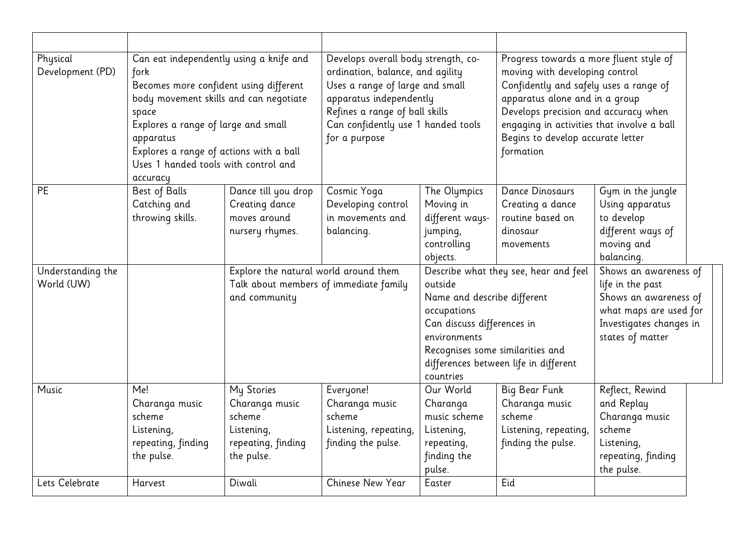| Physical<br>Development (PD)    | Can eat independently using a knife and<br>fork<br>Becomes more confident using different<br>body movement skills and can negotiate<br>space<br>Explores a range of large and small<br>apparatus<br>Explores a range of actions with a ball<br>Uses 1 handed tools with control and<br>accuracy |                                                                                                  | Develops overall body strength, co-<br>ordination, balance, and agility<br>Uses a range of large and small<br>apparatus independently<br>Refines a range of ball skills<br>Can confidently use 1 handed tools<br>for a purpose |                                                                                                                                                                                                                                        | Progress towards a more fluent style of<br>moving with developing control<br>Confidently and safely uses a range of<br>apparatus alone and in a group<br>Develops precision and accuracy when<br>engaging in activities that involve a ball<br>Begins to develop accurate letter<br>formation |                                                                                                                                             |  |
|---------------------------------|-------------------------------------------------------------------------------------------------------------------------------------------------------------------------------------------------------------------------------------------------------------------------------------------------|--------------------------------------------------------------------------------------------------|--------------------------------------------------------------------------------------------------------------------------------------------------------------------------------------------------------------------------------|----------------------------------------------------------------------------------------------------------------------------------------------------------------------------------------------------------------------------------------|-----------------------------------------------------------------------------------------------------------------------------------------------------------------------------------------------------------------------------------------------------------------------------------------------|---------------------------------------------------------------------------------------------------------------------------------------------|--|
| <b>PE</b>                       | Best of Balls<br>Catching and<br>throwing skills.                                                                                                                                                                                                                                               | Dance till you drop<br>Creating dance<br>moves around<br>nursery rhymes.                         | Cosmic Yoga<br>Developing control<br>in movements and<br>balancing.                                                                                                                                                            | The Olympics<br>Moving in<br>different ways-<br>jumping,<br>controlling<br>objects.                                                                                                                                                    | <b>Dance Dinosaurs</b><br>Creating a dance<br>routine based on<br>dinosaur<br>movements                                                                                                                                                                                                       | Gym in the jungle<br>Using apparatus<br>to develop<br>different ways of<br>moving and<br>balancing.                                         |  |
| Understanding the<br>World (UW) |                                                                                                                                                                                                                                                                                                 | Explore the natural world around them<br>Talk about members of immediate family<br>and community |                                                                                                                                                                                                                                | Describe what they see, hear and feel<br>outside<br>Name and describe different<br>occupations<br>Can discuss differences in<br>environments<br>Recognises some similarities and<br>differences between life in different<br>countries |                                                                                                                                                                                                                                                                                               | Shows an awareness of<br>life in the past<br>Shows an awareness of<br>what maps are used for<br>Investigates changes in<br>states of matter |  |
| Music                           | Me!<br>Charanga music<br>scheme<br>Listening,<br>repeating, finding<br>the pulse.                                                                                                                                                                                                               | My Stories<br>Charanga music<br>scheme<br>Listening,<br>repeating, finding<br>the pulse.         | Everyone!<br>Charanga music<br>scheme<br>Listening, repeating,<br>finding the pulse.                                                                                                                                           | Our World<br>Charanga<br>music scheme<br>Listening,<br>repeating,<br>finding the<br>pulse.                                                                                                                                             | Big Bear Funk<br>Charanga music<br>scheme<br>Listening, repeating,<br>finding the pulse.                                                                                                                                                                                                      | Reflect, Rewind<br>and Replay<br>Charanga music<br>scheme<br>Listening,<br>repeating, finding<br>the pulse.                                 |  |
| Lets Celebrate                  | Harvest                                                                                                                                                                                                                                                                                         | Diwali                                                                                           | Chinese New Year                                                                                                                                                                                                               | Easter                                                                                                                                                                                                                                 | Eid                                                                                                                                                                                                                                                                                           |                                                                                                                                             |  |